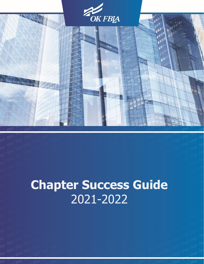

# **Chapter Success Guide** 2021-2022

1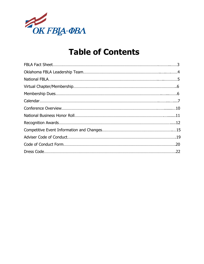

### **Table of Contents**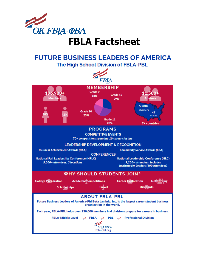

# **FBLA Factsheet**

# **FUTURE BUSINESS LEADERS OF AMERICA**

The High School Division of FBLA-PBL **FBIA MEMBERSHIP** Grade 9 Grade 12 18% 29% 5,200+ chapters Grade 10 47 25% states Grade 11 28% **7+ countries PROGRAMS COMPETITIVE EVENTS** 70+ competitions spanning 10 career clusters **LEADERSHIP DEVELOPMENT & RECOGNITION Business Achievement Awards (BAA) Community Service Awards (CSA) CONFERENCES National Fall Leadership Conference (NFLC) National Leadership Conference (NLC)** 5,000+ attendees, 3 locations 9,200+ attendees, includes **Institute for Leaders (600 attendees) WHY SHOULD STUDENTS JOIN? Networking College Preparation Academic Competitions Career Exploration Scholarships Travel Discounts** 

**ABOUT FBLA-PBL** 

Future Business Leaders of America-Phi Beta Lambda, Inc. is the largest career student business organization in the world.

Each year, FBLA-PBL helps over 230,000 members in 4 divisions prepare for careers in business.

**FBLA** & PBL & Professional Division **FBLA-Middle Level** 

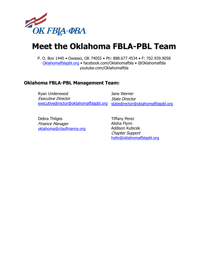

### **Meet the Oklahoma FBLA-PBL Team**

P. O. Box 1440 • Owasso, OK 74055 • Ph: 888.677.4534 • F: 702.939.9058 [Oklahomafblapbl.org](http://www.nevadafbla.org/) • facebook.com/Oklahomafbla • @Oklahomafbla youtube.com/Oklahomafbla

#### **Oklahoma FBLA-PBL Management Team:**

Ryan Underwood Executive Director [executivedirector@oklahomafblapbl.org](mailto:executivedirector@oklahomafblapbl.org) Jane Werner State Director [statedirector@oklahomafblapbl.org](mailto:statedirector@oklahomafblapbl.org)

Debra Thilges Finance Manager [oklahoma@ctsofinance.org](mailto:oklahoma@ctsofinance.org) Tiffany Perez Alisha Flynn Addison Kubicek Chapter Support [hello@oklahomafblapbl.org](mailto:hello@oklahomafblapbl.org)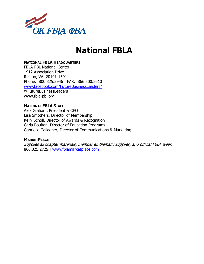

### **National FBLA**

#### **NATIONAL FBLA HEADQUARTERS**

FBLA-PBL National Center 1912 Association Drive Reston, VA 20191-1591 Phone: 800.325.2946 | FAX: 866.500.5610 [www.facebook.com/FutureBusinessLeaders/](http://www.facebook.com/FutureBusinessLeaders/) @FutureBusinessLeaders www.fbla-pbl.org

#### **NATIONAL FBLA STAFF**

Alex Graham, President & CEO Lisa Smothers, Director of Membership Kelly Scholl, Director of Awards & Recognition Carla Boulton, Director of Education Programs Gabrielle Gallagher, Director of Communications & Marketing

#### **MARKETPLACE**

Supplies all chapter materials, member emblematic supplies, and official FBLA wear. 866.325.2725 | [www.fblamarketplace.com](http://www.fblamarketplace.com/)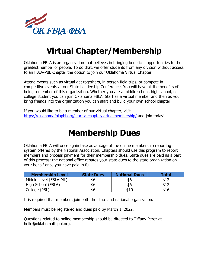

# **Virtual Chapter/Membership**

Oklahoma FBLA is an organization that believes in bringing beneficial opportunities to the greatest number of people. To do that, we offer students from any division without access to an FBLA-PBL Chapter the option to join our Oklahoma Virtual Chapter.

Attend events such as virtual get togethers, in person field trips, or compete in competitive events at our State Leadership Conference. You will have all the benefits of being a member of this organization. Whether you are a middle school, high school, or college student you can join Oklahoma FBLA. Start as a virtual member and then as you bring friends into the organization you can start and build your own school chapter!

If you would like to be a member of our virtual chapter, visit <https://oklahomafblapbl.org/start-a-chapter/virtualmembership/> and join today!

### **Membership Dues**

Oklahoma FBLA will once again take advantage of the online membership reporting system offered by the National Association. Chapters should use this program to report members and process payment for their membership dues. State dues are paid as a part of this process; the national office rebates your state dues to the state organization on your behalf once you have paid in full.

| <b>Membership Level</b> | <b>State Dues</b> | <b>National Dues</b> | <b>Total</b> |
|-------------------------|-------------------|----------------------|--------------|
| Middle Level (FBLA-ML)  | 56                |                      | \$12         |
| High School (FBLA)      | 56                |                      |              |
| College (PBL)           | 56                |                      | \$16         |

It is required that members join both the state and national organization.

Members must be registered and dues paid by March 1, 2022.

Questions related to online membership should be directed to Tiffany Perez at hello@oklahomafblpbl.org.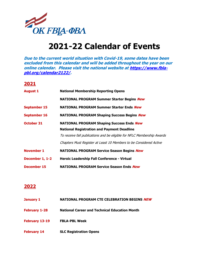

### **2021-22 Calendar of Events**

**Due to the current world situation with Covid-19, some dates have been excluded from this calendar and will be added throughout the year on our online calendar. Please visit the national website a[t https://www.fbla](https://www.fbla-pbl.org/calendar2122/)[pbl.org/calendar2122/.](https://www.fbla-pbl.org/calendar2122/)**

#### **2021**

| <b>August 1</b>     | <b>National Membership Reporting Opens</b>                              |  |
|---------------------|-------------------------------------------------------------------------|--|
|                     | <b>NATIONAL PROGRAM Summer Starter Begins New</b>                       |  |
| September 15        | <b>NATIONAL PROGRAM Summer Starter Ends New</b>                         |  |
| <b>September 16</b> | <b>NATIONAL PROGRAM Shaping Success Begins New</b>                      |  |
| <b>October 31</b>   | <b>NATIONAL PROGRAM Shaping Success Ends New</b>                        |  |
|                     | <b>National Registration and Payment Deadline</b>                       |  |
|                     | To receive fall publications and be eligible for NFLC Membership Awards |  |
|                     | Chapters Must Register at Least 10 Members to be Considered Active      |  |
| <b>November 1</b>   | <b>NATIONAL PROGRAM Service Season Begins New</b>                       |  |
| December 1, 1-2     | Heroic Leadership Fall Conference - Virtual                             |  |
| <b>December 15</b>  | <b>NATIONAL PROGRAM Service Season Ends New</b>                         |  |

#### **2022**

| <b>January 1</b>     | NATIONAL PROGRAM CTE CELEBRATION BEGINS NEW          |
|----------------------|------------------------------------------------------|
| <b>February 1-28</b> | <b>National Career and Technical Education Month</b> |
| February 13-19       | <b>FBLA-PBL Week</b>                                 |
| <b>February 14</b>   | <b>SLC Registration Opens</b>                        |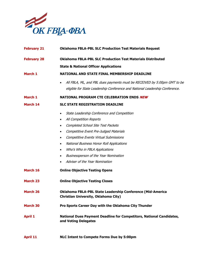

| <b>February 21</b> | <b>Oklahoma FBLA-PBL SLC Production Test Materials Request</b>                                                                                           |  |
|--------------------|----------------------------------------------------------------------------------------------------------------------------------------------------------|--|
| <b>February 28</b> | <b>Oklahoma FBLA-PBL SLC Production Test Materials Distributed</b>                                                                                       |  |
|                    | <b>State &amp; National Officer Applications</b>                                                                                                         |  |
| <b>March 1</b>     | NATIONAL AND STATE FINAL MEMBERSHIP DEADLINE                                                                                                             |  |
|                    | All FBLA, ML, and PBL dues payments must be RECEIVED by 5:00pm GMT to be<br>eligible for State Leadership Conference and National Leadership Conference. |  |
| March 1            | NATIONAL PROGRAM CTE CELEBRATION ENDS NEW                                                                                                                |  |
| March 14           | <b>SLC STATE REGISTRATION DEADLINE</b>                                                                                                                   |  |
|                    | State Leadership Conference and Competition<br>$\bullet$                                                                                                 |  |
|                    | All Competition Reports<br>$\bullet$                                                                                                                     |  |
|                    | <b>Completed School Site Test Packets</b><br>$\bullet$                                                                                                   |  |
|                    | Competitive Event Pre-Judged Materials<br>$\bullet$                                                                                                      |  |
|                    | Competitive Events Virtual Submissions<br>$\bullet$                                                                                                      |  |
|                    | <b>National Business Honor Roll Applications</b><br>$\bullet$                                                                                            |  |
|                    | Who's Who in FBLA Applications<br>$\bullet$                                                                                                              |  |
|                    | Businessperson of the Year Nomination<br>$\bullet$                                                                                                       |  |
|                    | Adviser of the Year Nomination                                                                                                                           |  |
| March 16           | <b>Online Objective Testing Opens</b>                                                                                                                    |  |
| <b>March 23</b>    | <b>Online Objective Testing Closes</b>                                                                                                                   |  |
| <b>March 26</b>    | Oklahoma FBLA-PBL State Leadership Conference (Mid-America<br>Christian University, Oklahoma City)                                                       |  |
| <b>March 30</b>    | Pro Sports Career Day with the Oklahoma City Thunder                                                                                                     |  |
| <b>April 1</b>     | <b>National Dues Payment Deadline for Competitors, National Candidates,</b><br>and Voting Delegates                                                      |  |
| <b>April 11</b>    | NLC Intent to Compete Forms Due by 5:00pm                                                                                                                |  |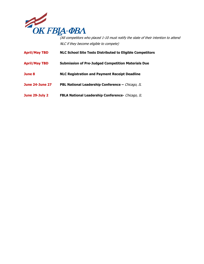

NLC if they become eligible to compete)

| <b>April/May TBD</b> | <b>NLC School Site Tests Distributed to Eligible Competitors</b> |
|----------------------|------------------------------------------------------------------|
|----------------------|------------------------------------------------------------------|

- **April/May TBD Submission of Pre-Judged Competition Materials Due**
- **June 8 NLC Registration and Payment Receipt Deadline**
- **June 24-June 27 PBL National Leadership Conference –** Chicago, IL
- **June 29-July 2 FBLA National Leadership Conference-** Chicago, IL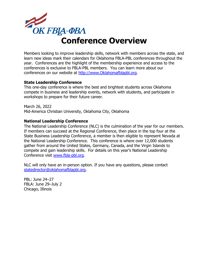

Members looking to improve leadership skills, network with members across the state, and learn new ideas mark their calendars for Oklahoma FBLA-PBL conferences throughout the year. Conferences are the highlight of the membership experience and access to the conferences is exclusive to FBLA-PBL members. You can learn more about our conferences on our website at [http://www.Oklahomafblapbl.org.](http://www.nevadafbla.org/)

#### **State Leadership Conference**

This one-day conference is where the best and brightest students across Oklahoma compete in business and leadership events, network with students, and participate in workshops to prepare for their future career.

March 26, 2022 Mid-America Christian University, Oklahoma City, Oklahoma

#### **[National Leadership Conference](http://www.fbla-pbl.org/conferences/nlc/)**

The National Leadership Conference (NLC) is the culmination of the year for our members. If members can succeed at the Regional Conference, then place in the top four at the State Business Leadership Conference, a member is then eligible to represent Nevada at the National Leadership Conference. This conference is where over 12,000 students gather from around the United States, Germany, Canada, and the Virgin Islands to compete and gain leadership skills. For details on this year's National Leadership Conference visit [www.fbla-pbl.org.](http://www.fbla-pbl.org/)

NLC will only have an in-person option. If you have any questions, please contact [statedirector@oklahomafblapbl.org.](mailto:statedirector@oklahomafblapbl.org)

PBL: June 24–27 FBLA: June 29–July 2 Chicago, Illinois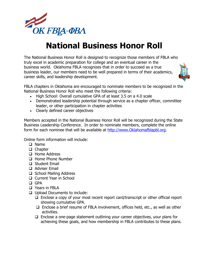

# **National Business Honor Roll**

The National Business Honor Roll is designed to recognize those members of FBLA who truly excel in academic preparation for college and an eventual career in the business world. Oklahoma FBLA recognizes that in order to succeed as a true business leader, our members need to be well prepared in terms of their academics, career skills, and leadership development.



FBLA chapters in Oklahoma are encouraged to nominate members to be recognized in the National Business Honor Roll who meet the following criteria:

- High School: Overall cumulative GPA of at least 3.5 on a 4.0 scale
- Demonstrated leadership potential through service as a chapter officer, committee leader, or other participation in chapter activities
- Clearly defined career objectives

Members accepted in the National Business Honor Roll will be recognized during the State Business Leadership Conference. In order to nominate members, complete the online form for each nominee that will be available at [http://www.Oklahomafblapbl.org.](http://www.oklahomafblapbl.org/)

Online form information will include:

- ❑ Name
- ❑ Chapter
- ❑ Home Address
- ❑ Home Phone Number
- ❑ Student Email
- ❑ Adviser Email
- ❑ School Mailing Address
- ❑ Current Year in School
- ❑ GPA
- ❑ Years in FBLA
- ❑ Upload Documents to include:
	- ❑ Enclose a copy of your most recent report card/transcript or other official report showing cumulative GPA.
	- ❑ Enclose a brief resume of FBLA involvement, offices held, etc., as well as other activities.
	- ❑ Enclose a one-page statement outlining your career objectives, your plans for achieving these goals, and how membership in FBLA contributes to these plans.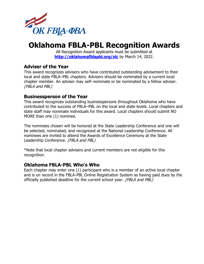

### **Oklahoma FBLA-PBL Recognition Awards**

All Recognition Award applicants must be submitted at **[http://oklahomafblapbl.org/slc](http://oklahomafblapbl.org/slc%20by%20Februaury%205)** by March 14, 2022.

#### **[Adviser of the Year](https://trileadership.wufoo.com/forms/oklahoma-fblapbl-2019-slc-adviser-of-the-year/)**

This award recognizes advisers who have contributed outstanding advisement to their local and state FBLA–PBL chapters. Advisers should be nominated by a current local chapter member. An adviser may self–nominate or be nominated by a fellow adviser. (FBLA and PBL)

#### **[Businessperson of the Year](https://trileadership.wufoo.com/forms/oklahoma-fblapbl-businessperson-of-the-year/)**

This award recognizes outstanding businesspersons throughout Oklahoma who have contributed to the success of FBLA–PBL on the local and state levels. Local chapters and state staff may nominate individuals for this award. Local chapters should submit NO MORE than one (1) nominee.

The nominees chosen will be honored at the State Leadership Conference and one will be selected, nominated, and recognized at the National Leadership Conference. All nominees are invited to attend the Awards of Excellence Ceremony at the State Leadership Conference. (FBLA and PBL)

\*Note that local chapter advisers and current members are not eligible for this recognition.

#### **[Oklahoma FBLA-PBL Who's Who](https://trileadership.wufoo.com/forms/oklahoma-fbla-slc-whos-who-form/)**

Each chapter may enter one (1) participant who is a member of an active local chapter and is on record in the FBLA-PBL Online Registration System as having paid dues by the officially published deadline for the current school year. (FBLA and PBL)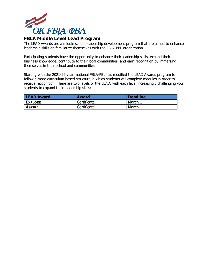

#### **FBLA Middle Level Lead Program**

The LEAD Awards are a middle school leadership development program that are aimed to enhance leadership skills an familiarize themselves with the FBLA-PBL organization.

Participating students have the opportunity to enhance their leadership skills, expand their business knowledge, contribute to their local communities, and earn recognition by immersing themselves in their school and communities.

Starting with the 2021-22 year, national FBLA-PBL has modified the LEAD Awards program to follow a more curriculum based structure in which students will complete modules in order to receive recognition. There are two levels of the LEAD, with each level increasingly challenging your students to expand their leadership skills:

| <b>LEAD Award</b> | <b>Award</b> | <b>Deadline</b> |
|-------------------|--------------|-----------------|
| <b>EXPLORE</b>    | Certificate  | March 1         |
| <b>ASPIRE</b>     | Certificate  | March 1         |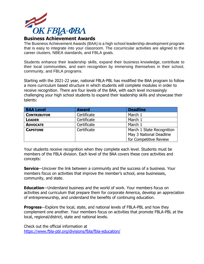

#### **Business Achievement Awards**

The Business Achievement Awards (BAA) is a high school leadership development program that is easy to integrate into your classroom. The cocurricular activities are aligned to the career clusters, NBEA standards, and FBLA goals.

Students enhance their leadership skills, expand their business knowledge, contribute to their local communities, and earn recognition by immersing themselves in their school, community, and FBLA programs.

Starting with the 2021-22 year, national FBLA-PBL has modified the BAA program to follow a more curriculum based structure in which students will complete modules in order to receive recognition. There are four levels of the BAA, with each level increasingly challenging your high school students to expand their leadership skills and showcase their talents:

| <b>BAA Level</b>   | <b>Award</b> | <b>Deadline</b>           |
|--------------------|--------------|---------------------------|
| <b>CONTRIBUTOR</b> | Certificate  | March 1                   |
| <b>LEADER</b>      | Certificate  | March 1                   |
| <b>ADVOCATE</b>    | Certificate  | March 1                   |
| <b>CAPSTONE</b>    | Certificate  | March 1 State Recognition |
|                    |              | May 3 National Deadline   |
|                    |              | for Competitive Review    |

Your students receive recognition when they complete each level. Students must be members of the FBLA division. Each level of the BAA covers these core activities and concepts:

**Service**—Uncover the link between a community and the success of a business. Your members focus on activities that improve the member's school, area businesses, community, and state.

**Education**—Understand business and the world of work. Your members focus on activities and curriculum that prepare them for corporate America, develop an appreciation of entrepreneurship, and understand the benefits of continuing education.

**Progress**—Explore the local, state, and national levels of FBLA-PBL and how they complement one another. Your members focus on activities that promote FBLA-PBL at the local, regional/district, state and national levels.

Check out the official information at <https://www.fbla-pbl.org/divisions/fbla/fbla-education/>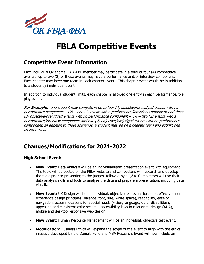

### **FBLA Competitive Events**

#### **Competitive Event Information**

Each individual Oklahoma FBLA-PBL member may participate in a total of four (4) competitive events: up to two (2) of those events may have a performance and/or interview component. Each chapter may have one team in each chapter event. This chapter event would be in addition to a student(s) individual event.

In addition to individual student limits, each chapter is allowed one entry in each performance/role play event.

**For Example**: one student may compete in up to four (4) objective/prejudged events with no performance component – OR – one (1) event with a performance/interview component and three (3) objective/prejudged events with no performance component  $-$  OR  $-$  two (2) events with a performance/interview component and two (2) objective/prejudged events with no performance component. In addition to these scenarios, a student may be on a chapter team and submit one chapter event.

#### **Changes/Modifications for 2021-2022**

#### **High School Events**

- **New Event**: Data Analysis will be an individual/team presentation event with equipment. The topic will be posted on the FBLA website and competitors will research and develop the topic prior to presenting to the judges, followed by a Q&A. Competitors will use their data analysis skills and tools to analyze the data and prepare a presentation, including data visualizations.
- **New Event:** UX Design will be an individual, objective test event based on effective user experience design principles (balance, font, size, white space), readability, ease of navigation, accommodations for special needs (vision, language, other disabilities), appealing and consistent color scheme, accessibility laws in relation to design (ADA), mobile and desktop responsive web design.
- **New Event:** Human Resource Management will be an individual, objective test event.
- **Modification:** Business Ethics will expand the scope of the event to align with the ethics initiative developed by the Daniels Fund and MBA Research. Event will now include an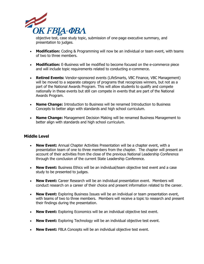

objective test, case study topic, submission of one-page executive summary, and presentation to judges.

- **Modification:** Coding & Programming will now be an individual or team event, with teams of two to three members.
- **Modification:** E-Business will be modified to become focused on the e-commerce piece and will include topic requirements related to conducting e-commerce.
- **Retired Events:** Vendor-sponsored events (LifeSmarts, VBC Finance, VBC Management) will be moved to a separate category of programs that recognizes winners, but not as a part of the National Awards Program. This will allow students to qualify and compete nationally in these events but still can compete in events that are part of the National Awards Program.
- **Name Change:** Introduction to Business will be renamed Introduction to Business Concepts to better align with standards and high school curriculum.
- **Name Change:** Management Decision Making will be renamed Business Management to better align with standards and high school curriculum.

#### **Middle Level**

- **New Event:** Annual Chapter Activities Presentation will be a chapter event, with a presentation team of one to three members from the chapter. The chapter will present an account of their activities from the close of the previous National Leadership Conference through the conclusion of the current State Leadership Conference.
- **New Event:** Business Ethics will be an individual/team objective test event and a case study to be presented to judges.
- **New Event:** Career Research will be an individual presentation event. Members will conduct research on a career of their choice and present information related to the career.
- **New Event:** Exploring Business Issues will be an individual or team presentation event, with teams of two to three members. Members will receive a topic to research and present their findings during the presentation.
- **New Event:** Exploring Economics will be an individual objective test event.
- **New Event:** Exploring Technology will be an individual objective test event.
- **New Event:** FBLA Concepts will be an individual objective test event.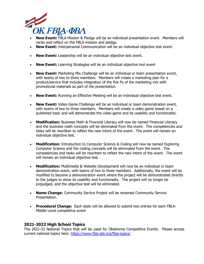

- **New Event:** FBLA Mission & Pledge will be an individual presentation event. Members will recite and reflect on the FBLA mission and pledge.
- **New Event:** Interpersonal Communication will be an individual objective test event.
- **New Event:** Leadership will be an individual objective test event.
- **New Event:** Learning Strategies will be an individual objective test event
- **New Event:** Marketing Mix Challenge will be an individual or team presentation event, with teams of two to three members. Members will create a marketing plan for a product/service that includes integration of the five Ps of the marketing mix with promotional materials as part of the presentation.
- **New Event:** Running an Effective Meeting will be an individual objective test event.
- **New Event:** Video Game Challenge will be an individual or team demonstration event, with teams of two to three members. Members will create a video game based on a published topic and will demonstrate the video game and its usability and functionality.
- **Modification:** Business Math & Financial Literacy will now be named Financial Literacy and the business math concepts will be eliminated from the event. The competencies and tasks will be rewritten to reflect the new intent of the event. The event will remain an individual objective test.
- **Modification:** Introduction to Computer Science & Coding will now be named Exploring Computer Science and the coding concepts will be eliminated from the event. The competencies and tasks will be rewritten to reflect the new intent of the event. The event will remain an individual objective test.
- **Modification:** Multimedia & Website Development will now be an individual or team demonstration event, with teams of two to three members. Additionally, the event will be modified to become a demonstration event where the project will be demonstrated directly to the judges to show its usability and functionality. The project will no longer be prejudged, and the objective test will be eliminated.
- **Name Change:** Community Service Project will be renamed Community Service Presentation.
- **Procedural Change:** Each state will be allowed to submit two entries for each FBLA-Middle Level competitive event

#### **2021-2022 High School Topics**

The 2021-22 National Topics that will be used for Oklahoma Competitive Events. Please access current national topics here:<https://www.fbla-pbl.org/fbla-topics/>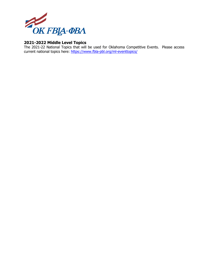

#### **2021-2022 Middle Level Topics**

The 2021-22 National Topics that will be used for Oklahoma Competitive Events. Please access current national topics here:<https://www.fbla-pbl.org/ml-eventtopics/>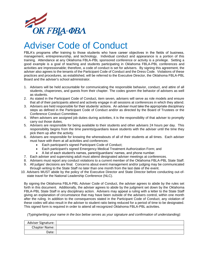

# Adviser Code of Conduct

FBLA's programs offer training to those students who have career objectives in the fields of business, management, entrepreneurship, and technology. Individual conduct and appearance is a portion of this training. Attendance at any Oklahoma FBLA-PBL sponsored conference or activity is a privilege. Setting a good example is a goal of teaching and students participating in Oklahoma FBLA-PBL conferences and activities are impressionable; therefore, a code of conduct is set for advisers. By signing this agreement, the adviser also agrees to the tenants of the Participant Code of Conduct and the Dress Code. Violations of these practices and procedures, as established, will be referred to the Executive Director, the Oklahoma FBLA-PBL Board and the adviser's school administrator.

- 1. Advisers will be held accountable for communicating the responsible behavior, conduct, and attire of all students, chaperones, and guests from their chapter. The codes govern the behavior of advisers as well as students.
- 2. As stated in the Participant Code of Conduct, item seven, advisers will serve as role models and ensure that all of their participants attend and actively engage in all sessions at conferences in which they attend.
- 3. Advisers are held responsible for their students' actions. An adviser must take the appropriate disciplinary steps as defined in the Participant Code of Conduct and/or as directed by the Board of Trustees or the Conference Conduct Committee.
- 4. When advisers are assigned job duties during activities, it is the responsibility of that adviser to promptly carry out those duties.
- 5. Advisers are responsible for being available to their students and other advisers 24 hours per day. This responsibility begins from the time parents/guardians leave students with the adviser until the time they pick them up after the activity.
- 6. Advisers are responsible for knowing the whereabouts of all of their students at all times. Each adviser must have with them at all activities and conferences:
	- Each participant's signed Participant Code of Conduct;
	- Each participant's signed Emergency Medical Treatment Authorization Form; and
	- A list of each student's names, parent/guardians' names, and phone number.
- 7. Each adviser and supervising adult must attend designated adviser meetings at conferences.
- 8. Advisers must report any conduct violations to a current member of the Oklahoma FBLA-PBL State Staff.
- 9. All judges' decisions are final. Concerns about event management and/or judging may be communicated through writing to the State Staff no later than one month from the last date of the event.
- 10. Advisers MUST abide by the policy of the Executive Director and State Director before conducting out-ofstate travel for the National Leadership Conference (NLC).

By signing the Oklahoma FBLA-PBL Adviser Code of Conduct, the adviser agrees to abide by the rules set forth in this document. Additionally, the adviser agrees to abide by the judgment set down by the Oklahoma FBLA-PBL State Staff in any disciplinary action. Advisers may appeal a ruling with a letter to the State Staff giving an explanation of circumstance that may have been outside of the advisers control, within one month after the ruling. In addition to the consequences stated in the Participant Code of Conduct, any violation of these codes will also result in the adviser to student ratio being reduced for a period of time to be designated. This signed form is required in order to attend all recognized Oklahoma FBLA-PBL activities.

*(Typing/writing your name in the box below serves as your signature and confirmation of understanding):*

| Adviser Signature: |  |
|--------------------|--|
| Chapter Name:      |  |
| Date:              |  |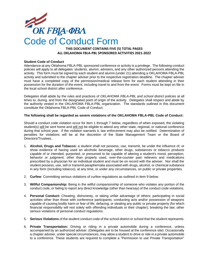

#### **THIS DOCUMENT CONTAINS FIVE (5) TOTAL PAGES ALL OKLAHOMA FBLA-PBL SPONSORED ACTIVITIES 2021-2022**

#### **Student Code of Conduct**

Attendance at any Oklahoma FBLA-PBL sponsored conference or activity is a privilege. The following conduct policies will apply to all delegates: students, alumni, advisers, and any other authorized persons attending the activity. This form must be signed by each student and alumni (under 21) attending a OKLAHOMA FBLA-PBL activity and submitted to the chapter adviser prior to the respective registration deadline. The chapter adviser must have a completed copy of the permission/medical release form for each student attending in their possession for the duration of the event, including travel to and from the event. Forms must be kept on file in the local school district after conference.

Delegates shall abide by the rules and practices of *OKLAHOMA FBLA-PBL and school district policies* at all times to, during, and from the designated point of origin of the activity. Delegates shall respect and abide by the authority vested in the OKLAHOMA FBLA-PBL organization. The standards outlined in this document constitute the Oklahoma FBLA-PBL Code of Conduct.

#### **The following shall be regarded as severe violations of the OKLAHOMA FBLA-PBL Code of Conduct:**

Should a conduct code violation occur for item 1 through 7 below, regardless of when exposed, the violating student(s) will be sent home and will not be eligible to attend any other state, regional, or national conference during that school year. If the violation warrants it, law enforcement may also be notified. Determination of penalties for violations will be at the discretion of the State Management Team or the Board of Directors/Trustees.

- 1. **Alcohol, Drugs and Tobacco:** a student shall not possess, use, transmit, be under the influence of, or show evidence of having used an alcoholic beverage, other drugs, substances or tobacco products capable of or intended, purported, or presumed to be capable of altering a student's mood, perception, behavior or judgment; other than properly used, over-the-counter pain relievers and medications prescribed by a physician for an individual student and must be on record with the adviser. Nor shall the student possess, use, sell or transmit paraphernalia associated with drugs, alcohol, or chemical substance in any form (including tobacco), at any time, or under any circumstances, on public or private properties.
- 2. **Curfew**: Committing serious violations of curfew regulations as outlined in item 9 below.
- 3. **Willful Companionship:** Being in the willful companionship of someone who violates any portion of the conduct code, or failing to report any direct knowledge (other than hearsay) of the conduct code violations.
- 4. **Personal Conduct:** Cheating, dishonesty, or taking unfair advantage of others; participating in social activities other than those with conference participants; conducting acts and/or possession of weapons capable of causing bodily harm or fear of life, defacing, or stealing any public or private property (for which financial responsibility will rest solely with offending individuals or their chapter); breaking the law; other serious violations of personal conduct regulations.
- 5. **Serious Violations** of the student conduct code of the school district or school that the student represents.
- 6. **Private Transportation:** Driving or riding in a private automobile during a conference, unless accompanied by an authorized adviser. (Delegates are to be housed at the conference site) Occasionally a chapter adviser, under special circumstances, may allow a student to drive or ride in a private automobile to a conference. These students are required to complete a "Permission to use Private Transportation"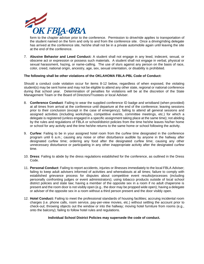

form to the chapter adviser prior to the conference. Permission to drive/ride applies to transportation of the student named on the form and only to and from the conference site. Once a driving/riding delegate has arrived at the conference site, he/she shall not be in a private automobile again until leaving the site at the end of the conference.

7. **Abusive Behavior and Lewd Conduct:** A student shall not engage in any lewd, indecent, sexual, or obscene act or expression or possess such materials. A student shall not engage in verbal, physical or sexual harassment, hazing, or name-calling. The use of slurs against any person on the basis of race, color, creed, national origin, ancestry, age, sex, sexual orientation, or disability is prohibited.

#### **The following shall be other violations of the OKLAHOMA FBLA-PBL Code of Conduct:**

Should a conduct code violation occur for items 8-12 below, regardless of when exposed, the violating student(s) may be sent home and may not be eligible to attend any other state, regional or national conference during that school year. Determination of penalties for violations will be at the discretion of the State Management Team or the Board of Directors/Trustees or local Adviser.

- 8. **Conference Conduct**: Failing to wear the supplied conference ID badge and wristband (when provided) at all times from arrival at the conference until departure at the end of the conference; leaving sessions prior to their conclusion (except in the case of emergency); failing to attend all general sessions and assigned activities (including workshops, competitive events, committee meetings, etc.) for which a delegate is registered (unless engaged in a specific assignment taking place at the same time); not abiding by the rules and regulations of FBLA or school/district policies from the time he/she leaves his/her home or school for any activity and the time he/she returns to the same home or school following the activity.
- 9. **Curfew**: Failing to be in your assigned hotel room from the curfew time designated in the conference program until 6 a.m.; causing any noise or other disturbance audible by anyone in the hallway after designated curfew time; ordering any food after the designated curfew time; causing any other unnecessary disturbance or participating in any other inappropriate activity after the designated curfew time.
- 10. **Dress**: Failing to abide by the dress regulations established for the conference, as outlined in the Dress Code.
- 11. **Personal Conduct**: Failing to report accidents, injuries or illnesses immediately to the local FBLA Adviser; failing to keep adult advisers informed of activities and whereabouts at all times; failure to comply with established grievance process for disputes about competitive event results/processes (including personally confronting judges or event administrators); using tobacco products outside of local school district policies and state law; having a member of the opposite sex in a room if no adult chaperone is present and the room door is not visibly open (e.g.. the door may be propped wide open); having a delegate or adviser of the opposite sex in a room without a third person present and the door visibly open.
- 12. **Hotel Conduct:** Failing to meet the professional standards of housing facilities; accruing incidental room charges (i.e. phone calls, room service, pay-per-view movies, etc.) without settling the account prior to check-out; throwing objects out the window or into the hallway; moving hotel furniture from rooms (e.g., onto the balcony); failing to follow hotel rules and regulations.

#### **Individual School District Policies may supersede the code of conduct.**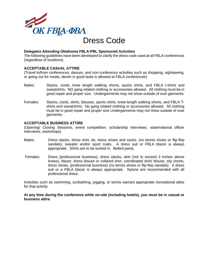

### Dress Code

#### **Delegates Attending Oklahoma FBLA-PBL Sponsored Activities**

The following guidelines have been developed to clarify the dress code used at all FBLA conferences (regardless of locations).

#### **ACCEPTABLE CASUAL ATTIRE**

(Travel to/from conferences, dances, and non-conference activities such as shopping, sightseeing, or going out for meals, denim in good taste is allowed at FBLA conferences)

- Males: Slacks, cords, knee length walking shorts, sports shirts, and FBLA t-shirts and sweatshirts. NO gang related clothing or accessories allowed. All clothing must be in good repair and proper size. Undergarments may not show outside of over garments.
- Females: Slacks, cords, skirts, blouses, sports shirts, knee-length walking shorts, and FBLA Tshirts and sweatshirts. No gang related clothing or accessories allowed. All clothing must be in good repair and proper size Undergarments may not show outside of over garments.

#### **ACCEPTABLE BUSINESS ATTIRE**

(Opening/ Closing Sessions, event competition, scholarship interviews, state/national officer interviews, workshops)

- Males: Dress slacks, dress shirt, tie, dress shoes and socks, (no tennis shoes or flip-flop sandals), sweater and/or sport coats. A dress suit or FBLA blazer is always appropriate. Shirts are to be tucked in. Belted pants.
- Females: Dress (professional business), dress slacks, skirt (not to exceed 3 inches above knees), blazer, dress blouse or collared shirt, coordinated shirt/ blouse, city shorts, dress shoes, (professional business) (no tennis shoes or flip-flop sandals). A dress suit or a FBLA blazer is always appropriate. Nylons are recommended with all professional dress.

Activities such as swimming, sunbathing, jogging, or tennis warrant appropriate recreational attire for that activity.

**At any time during the conference while on-site (including hotels), you must be in casual or business attire**.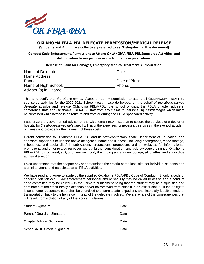![](_page_22_Picture_0.jpeg)

#### **OKLAHOMA FBLA-PBL DELEGATE PERMISSION/MEDICAL RELEASE**

**(Students and Alumni are collectively referred to as "Delegates" in this document)**

**Conduct Code Endorsement, Permissions to Attend OKLAHOMA FBLA-PBL Sponsored Activities, and Authorization to use pictures or student name in publications.**

**Release of Claim for Damages, Emergency Medical Treatment Authorization:**

| Name of Delegate:      | Date:          |  |
|------------------------|----------------|--|
| Home Address:          |                |  |
| Phone:                 | Date of Birth: |  |
| Name of High School:   | Phone:         |  |
| Adviser (s) in Charge: |                |  |

This is to certify that *the above-named delegate* has my permission to attend all OKLAHOMA FBLA-PBL sponsored activities for the 2020-2021 School Year. I also do hereby, on the behalf of *the above-named delegate* absolve and release Oklahoma FBLA-PBL, the school officials, the FBLA chapter advisers, conference staff, and Oklahoma FBLA-PBL staff from any claims for personal injuries/damages which might be sustained while he/she is en route to and from or during the FBLA sponsored activity.

I authorize the above-named adviser or the Oklahoma FBLA-PBL staff to secure the services of a doctor or hospital for *the above-named delegate*. I will incur the expenses for necessary services in the event of accident or illness and provide for the payment of these costs.

I grant permission to Oklahoma FBLA-PBL and its staff/contractors, State Department of Education, and sponsors/supporters to use the above delegate's name and likeness (including photographs, video footage, silhouettes, and audio clips) in publications, productions, promotions and on websites for informational, promotional and other related purposes without further consideration, and acknowledge the right of Oklahoma FBLA-PBL to crop, treat, edit, or otherwise modify the photographs, video footage, silhouettes, and audio clips at their discretion.

I also understand that the chapter adviser determines the criteria at the local site, for individual students and alumni to attend and participate at all FBLA activities.

We have read and agree to abide by the supplied Oklahoma FBLA-PBL Code of Conduct. Should a code of conduct violation occur, law enforcement personnel and or security may be called to assist, and a conduct code committee may be called with the ultimate punishment being that the student may be disqualified and sent home at their/their family's expense and/or be removed from office if in an officer status. If the delegate is sent home reasonable care shall be exercised to ensure a safe, expedient, and financially feasible mode of transportation back to the home community of the delegate involved. We are aware of the consequences that will result from violation of any of the above guidelines.

| Parent / Guardian Signature |  |
|-----------------------------|--|
|                             |  |
|                             |  |